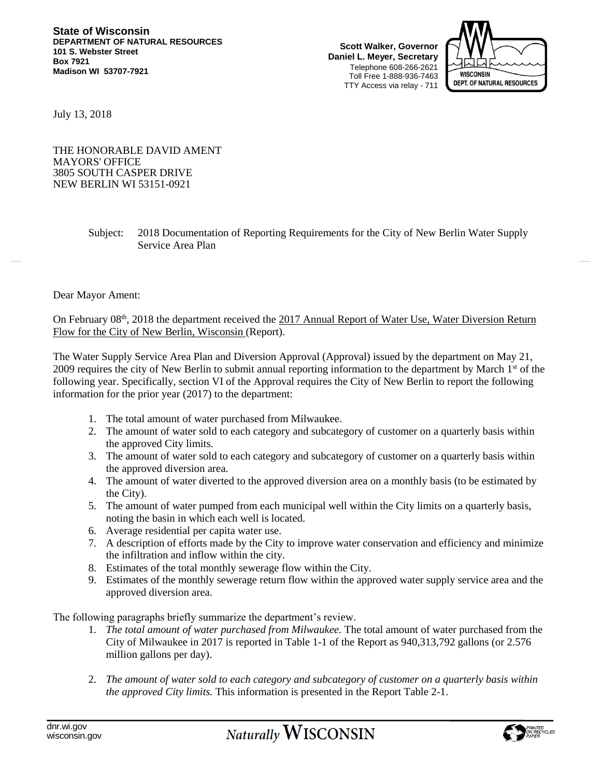**Scott Walker, Governor Daniel L. Meyer, Secretary** Telephone 608-266-2621 Toll Free 1-888-936-7463 TTY Access via relay - 711



July 13, 2018

THE HONORABLE DAVID AMENT MAYORS' OFFICE 3805 SOUTH CASPER DRIVE NEW BERLIN WI 53151-0921

> Subject: 2018 Documentation of Reporting Requirements for the City of New Berlin Water Supply Service Area Plan

## Dear Mayor Ament:

On February 08<sup>th</sup>, 2018 the department received the 2017 Annual Report of Water Use, Water Diversion Return Flow for the City of New Berlin, Wisconsin (Report).

The Water Supply Service Area Plan and Diversion Approval (Approval) issued by the department on May 21, 2009 requires the city of New Berlin to submit annual reporting information to the department by March 1<sup>st</sup> of the following year. Specifically, section VI of the Approval requires the City of New Berlin to report the following information for the prior year (2017) to the department:

- 1. The total amount of water purchased from Milwaukee.
- 2. The amount of water sold to each category and subcategory of customer on a quarterly basis within the approved City limits.
- 3. The amount of water sold to each category and subcategory of customer on a quarterly basis within the approved diversion area.
- 4. The amount of water diverted to the approved diversion area on a monthly basis (to be estimated by the City).
- 5. The amount of water pumped from each municipal well within the City limits on a quarterly basis, noting the basin in which each well is located.
- 6. Average residential per capita water use.
- 7. A description of efforts made by the City to improve water conservation and efficiency and minimize the infiltration and inflow within the city.
- 8. Estimates of the total monthly sewerage flow within the City.
- 9. Estimates of the monthly sewerage return flow within the approved water supply service area and the approved diversion area.

The following paragraphs briefly summarize the department's review.

- 1. *The total amount of water purchased from Milwaukee.* The total amount of water purchased from the City of Milwaukee in 2017 is reported in Table 1-1 of the Report as 940,313,792 gallons (or 2.576 million gallons per day).
- 2. *The amount of water sold to each category and subcategory of customer on a quarterly basis within the approved City limits.* This information is presented in the Report Table 2-1.

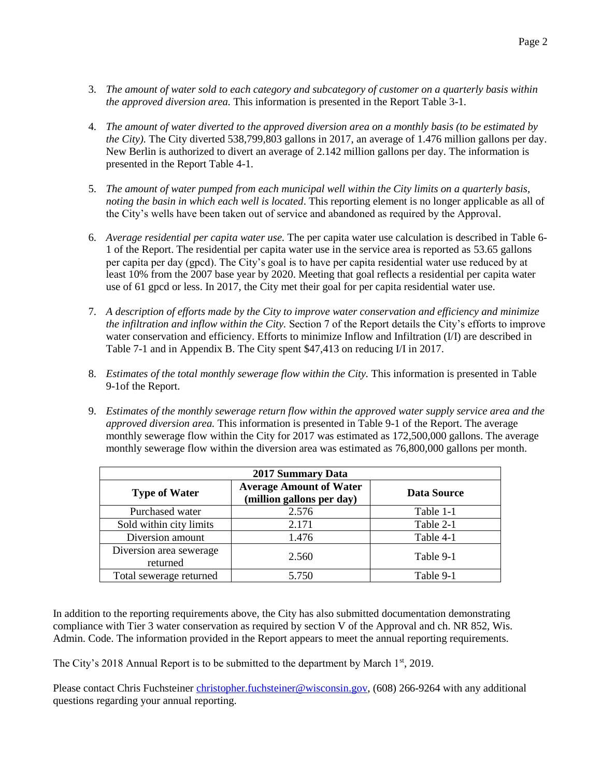- 3. *The amount of water sold to each category and subcategory of customer on a quarterly basis within the approved diversion area.* This information is presented in the Report Table 3-1.
- 4. *The amount of water diverted to the approved diversion area on a monthly basis (to be estimated by the City).* The City diverted 538,799,803 gallons in 2017, an average of 1.476 million gallons per day. New Berlin is authorized to divert an average of 2.142 million gallons per day. The information is presented in the Report Table 4-1.
- 5. *The amount of water pumped from each municipal well within the City limits on a quarterly basis, noting the basin in which each well is located*. This reporting element is no longer applicable as all of the City's wells have been taken out of service and abandoned as required by the Approval.
- 6. *Average residential per capita water use.* The per capita water use calculation is described in Table 6- 1 of the Report. The residential per capita water use in the service area is reported as 53.65 gallons per capita per day (gpcd). The City's goal is to have per capita residential water use reduced by at least 10% from the 2007 base year by 2020. Meeting that goal reflects a residential per capita water use of 61 gpcd or less. In 2017, the City met their goal for per capita residential water use.
- 7. *A description of efforts made by the City to improve water conservation and efficiency and minimize the infiltration and inflow within the City.* Section 7 of the Report details the City's efforts to improve water conservation and efficiency. Efforts to minimize Inflow and Infiltration (I/I) are described in Table 7-1 and in Appendix B. The City spent \$47,413 on reducing I/I in 2017.
- 8. *Estimates of the total monthly sewerage flow within the City.* This information is presented in Table 9-1of the Report.
- 9. *Estimates of the monthly sewerage return flow within the approved water supply service area and the approved diversion area.* This information is presented in Table 9-1 of the Report. The average monthly sewerage flow within the City for 2017 was estimated as 172,500,000 gallons. The average monthly sewerage flow within the diversion area was estimated as 76,800,000 gallons per month.

| <b>2017 Summary Data</b>            |                                                             |                    |
|-------------------------------------|-------------------------------------------------------------|--------------------|
| <b>Type of Water</b>                | <b>Average Amount of Water</b><br>(million gallons per day) | <b>Data Source</b> |
| Purchased water                     | 2.576                                                       | Table 1-1          |
| Sold within city limits             | 2.171                                                       | Table 2-1          |
| Diversion amount                    | 1.476                                                       | Table 4-1          |
| Diversion area sewerage<br>returned | 2.560                                                       | Table 9-1          |
| Total sewerage returned             | 5.750                                                       | Table 9-1          |

In addition to the reporting requirements above, the City has also submitted documentation demonstrating compliance with Tier 3 water conservation as required by section V of the Approval and ch. NR 852, Wis. Admin. Code. The information provided in the Report appears to meet the annual reporting requirements.

The City's 2018 Annual Report is to be submitted to the department by March  $1<sup>st</sup>$ , 2019.

Please contact Chris Fuchsteiner [christopher.fuchsteiner@wisconsin.gov,](mailto:christopher.fuchsteiner@wisconsin.gov) (608) 266-9264 with any additional questions regarding your annual reporting.